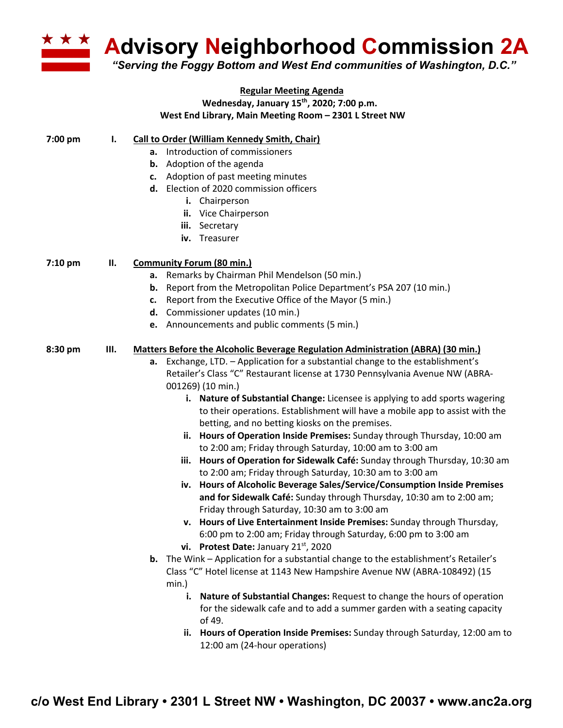

## **Regular Meeting Agenda Wednesday, January 15th, 2020; 7:00 p.m. West End Library, Main Meeting Room – 2301 L Street NW**

| <b>Call to Order (William Kennedy Smith, Chair)</b> |
|-----------------------------------------------------|
|                                                     |

- **a.** Introduction of commissioners
- **b.** Adoption of the agenda
- **c.** Adoption of past meeting minutes
- **d.** Election of 2020 commission officers
	- **i.** Chairperson
	- **ii.** Vice Chairperson
	- **iii.** Secretary
	- **iv.** Treasurer

## **7:10 pm II. Community Forum (80 min.)**

- **a.** Remarks by Chairman Phil Mendelson (50 min.)
- **b.** Report from the Metropolitan Police Department's PSA 207 (10 min.)
- **c.** Report from the Executive Office of the Mayor (5 min.)
- **d.** Commissioner updates (10 min.)
- **e.** Announcements and public comments (5 min.)

## **8:30 pm III. Matters Before the Alcoholic Beverage Regulation Administration (ABRA) (30 min.)**

- **a.** Exchange, LTD. Application for a substantial change to the establishment's Retailer's Class "C" Restaurant license at 1730 Pennsylvania Avenue NW (ABRA-001269) (10 min.)
	- **i. Nature of Substantial Change:** Licensee is applying to add sports wagering to their operations. Establishment will have a mobile app to assist with the betting, and no betting kiosks on the premises.
	- **ii. Hours of Operation Inside Premises:** Sunday through Thursday, 10:00 am to 2:00 am; Friday through Saturday, 10:00 am to 3:00 am
	- **iii. Hours of Operation for Sidewalk Café:** Sunday through Thursday, 10:30 am to 2:00 am; Friday through Saturday, 10:30 am to 3:00 am
	- **iv. Hours of Alcoholic Beverage Sales/Service/Consumption Inside Premises and for Sidewalk Café:** Sunday through Thursday, 10:30 am to 2:00 am; Friday through Saturday, 10:30 am to 3:00 am
	- **v. Hours of Live Entertainment Inside Premises:** Sunday through Thursday, 6:00 pm to 2:00 am; Friday through Saturday, 6:00 pm to 3:00 am
	- vi. Protest Date: January 21<sup>st</sup>, 2020
- **b.** The Wink Application for a substantial change to the establishment's Retailer's Class "C" Hotel license at 1143 New Hampshire Avenue NW (ABRA-108492) (15 min.)
	- **i. Nature of Substantial Changes:** Request to change the hours of operation for the sidewalk cafe and to add a summer garden with a seating capacity of 49.
	- **ii. Hours of Operation Inside Premises:** Sunday through Saturday, 12:00 am to 12:00 am (24-hour operations)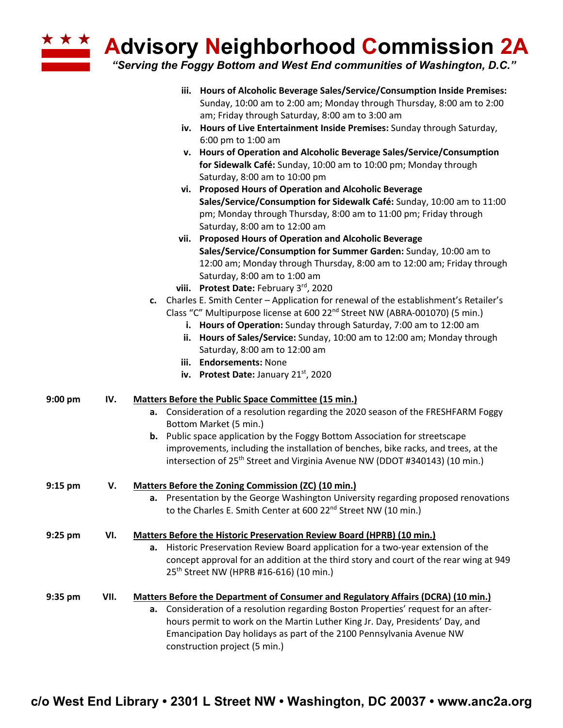| * * * *   |      | <b>Advisory Neighborhood Commission 2A</b><br>"Serving the Foggy Bottom and West End communities of Washington, D.C."                                                                                      |
|-----------|------|------------------------------------------------------------------------------------------------------------------------------------------------------------------------------------------------------------|
|           |      | Hours of Alcoholic Beverage Sales/Service/Consumption Inside Premises:<br>iii.<br>Sunday, 10:00 am to 2:00 am; Monday through Thursday, 8:00 am to 2:00<br>am; Friday through Saturday, 8:00 am to 3:00 am |
|           |      | iv. Hours of Live Entertainment Inside Premises: Sunday through Saturday,<br>6:00 pm to 1:00 am                                                                                                            |
|           |      | v. Hours of Operation and Alcoholic Beverage Sales/Service/Consumption<br>for Sidewalk Café: Sunday, 10:00 am to 10:00 pm; Monday through<br>Saturday, 8:00 am to 10:00 pm                                 |
|           |      | vi. Proposed Hours of Operation and Alcoholic Beverage<br>Sales/Service/Consumption for Sidewalk Café: Sunday, 10:00 am to 11:00<br>pm; Monday through Thursday, 8:00 am to 11:00 pm; Friday through       |
|           |      | Saturday, 8:00 am to 12:00 am                                                                                                                                                                              |
|           |      | vii. Proposed Hours of Operation and Alcoholic Beverage<br>Sales/Service/Consumption for Summer Garden: Sunday, 10:00 am to                                                                                |
|           |      | 12:00 am; Monday through Thursday, 8:00 am to 12:00 am; Friday through                                                                                                                                     |
|           |      | Saturday, 8:00 am to 1:00 am                                                                                                                                                                               |
|           |      | viii. Protest Date: February 3rd, 2020                                                                                                                                                                     |
|           |      | c. Charles E. Smith Center - Application for renewal of the establishment's Retailer's                                                                                                                     |
|           |      | Class "C" Multipurpose license at 600 22 <sup>nd</sup> Street NW (ABRA-001070) (5 min.)                                                                                                                    |
|           |      | i. Hours of Operation: Sunday through Saturday, 7:00 am to 12:00 am                                                                                                                                        |
|           |      | ii. Hours of Sales/Service: Sunday, 10:00 am to 12:00 am; Monday through                                                                                                                                   |
|           |      | Saturday, 8:00 am to 12:00 am                                                                                                                                                                              |
|           |      | iii. Endorsements: None                                                                                                                                                                                    |
|           |      | iv. Protest Date: January 21 <sup>st</sup> , 2020                                                                                                                                                          |
| $9:00$ pm | IV.  | <b>Matters Before the Public Space Committee (15 min.)</b>                                                                                                                                                 |
|           |      | a. Consideration of a resolution regarding the 2020 season of the FRESHFARM Foggy<br>Bottom Market (5 min.)                                                                                                |
|           |      | <b>b.</b> Public space application by the Foggy Bottom Association for streetscape                                                                                                                         |
|           |      | improvements, including the installation of benches, bike racks, and trees, at the<br>intersection of 25 <sup>th</sup> Street and Virginia Avenue NW (DDOT #340143) (10 min.)                              |
| $9:15$ pm | V.   | Matters Before the Zoning Commission (ZC) (10 min.)                                                                                                                                                        |
|           |      | a. Presentation by the George Washington University regarding proposed renovations<br>to the Charles E. Smith Center at 600 22 <sup>nd</sup> Street NW (10 min.)                                           |
| $9:25$ pm | VI.  | <b>Matters Before the Historic Preservation Review Board (HPRB) (10 min.)</b>                                                                                                                              |
|           |      | a. Historic Preservation Review Board application for a two-year extension of the                                                                                                                          |
|           |      | concept approval for an addition at the third story and court of the rear wing at 949<br>25 <sup>th</sup> Street NW (HPRB #16-616) (10 min.)                                                               |
| $9:35$ pm | VII. | <b>Matters Before the Department of Consumer and Regulatory Affairs (DCRA) (10 min.)</b>                                                                                                                   |

**a.** Consideration of a resolution regarding Boston Properties' request for an afterhours permit to work on the Martin Luther King Jr. Day, Presidents' Day, and Emancipation Day holidays as part of the 2100 Pennsylvania Avenue NW construction project (5 min.)